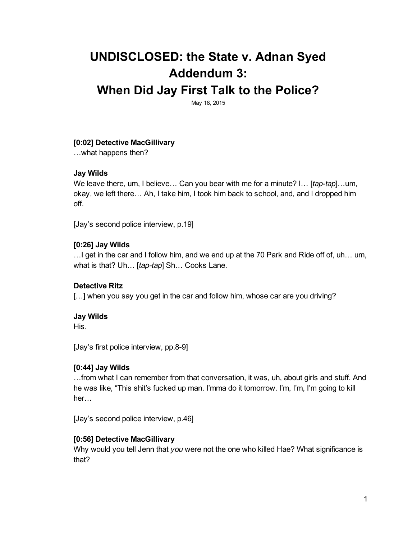# UNDISCLOSED: the State v. Adnan Syed Addendum 3:

# When Did Jay First Talk to the Police?

May 18, 2015

# [0:02] Detective MacGillivary

…what happens then?

#### Jay Wilds

We leave there, um, I believe... Can you bear with me for a minute? I... [*tap-tap*]...um, okay, we left there… Ah, I take him, I took him back to school, and, and I dropped him off.

[Jay's second police interview, p.19]

# [0:26] Jay Wilds

…I get in the car and I follow him, and we end up at the 70 Park and Ride off of, uh… um, what is that? Uh... [tap-tap] Sh... Cooks Lane.

#### Detective Ritz

[...] when you say you get in the car and follow him, whose car are you driving?

#### Jay Wilds

His.

[Jay's first police interview, pp.8-9]

#### [0:44] Jay Wilds

…from what I can remember from that conversation, it was, uh, about girls and stuff. And he was like, "This shit's fucked up man. I'mma do it tomorrow. I'm, I'm, I'm going to kill her…

[Jay's second police interview, p.46]

# [0:56] Detective MacGillivary

Why would you tell Jenn that *you* were not the one who killed Hae? What significance is that?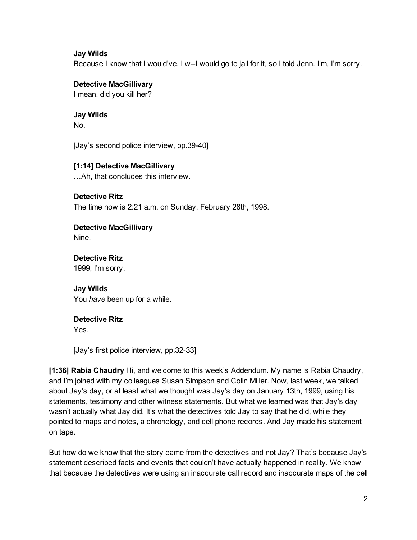#### Jay Wilds

Because I know that I would've, I w--I would go to jail for it, so I told Jenn. I'm, I'm sorry.

#### Detective MacGillivary

I mean, did you kill her?

# Jay Wilds

No.

[Jay's second police interview, pp.39-40]

# [1:14] Detective MacGillivary

…Ah, that concludes this interview.

#### Detective Ritz

The time now is 2:21 a.m. on Sunday, February 28th, 1998.

#### Detective MacGillivary Nine.

#### Detective Ritz 1999, I'm sorry.

Jay Wilds You *have* been up for a while.

#### Detective Ritz

Yes.

[Jay's first police interview, pp.32-33]

[1:36] Rabia Chaudry Hi, and welcome to this week's Addendum. My name is Rabia Chaudry, and I'm joined with my colleagues Susan Simpson and Colin Miller. Now, last week, we talked about Jay's day, or at least what we thought was Jay's day on January 13th, 1999, using his statements, testimony and other witness statements. But what we learned was that Jay's day wasn't actually what Jay did. It's what the detectives told Jay to say that he did, while they pointed to maps and notes, a chronology, and cell phone records. And Jay made his statement on tape.

But how do we know that the story came from the detectives and not Jay? That's because Jay's statement described facts and events that couldn't have actually happened in reality. We know that because the detectives were using an inaccurate call record and inaccurate maps of the cell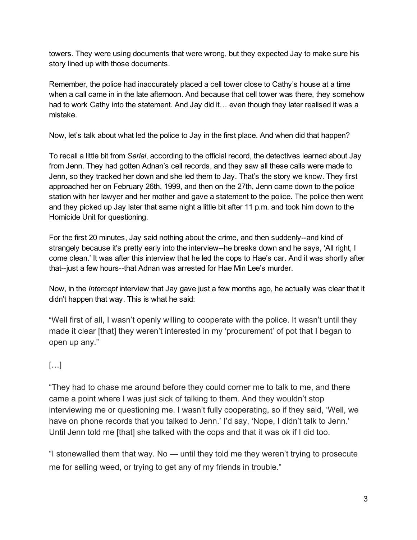towers. They were using documents that were wrong, but they expected Jay to make sure his story lined up with those documents.

Remember, the police had inaccurately placed a cell tower close to Cathy's house at a time when a call came in in the late afternoon. And because that cell tower was there, they somehow had to work Cathy into the statement. And Jay did it... even though they later realised it was a mistake.

Now, let's talk about what led the police to Jay in the first place. And when did that happen?

To recall a little bit from *Serial*, according to the official record, the detectives learned about Jay from Jenn. They had gotten Adnan's cell records, and they saw all these calls were made to Jenn, so they tracked her down and she led them to Jay. That's the story we know. They first approached her on February 26th, 1999, and then on the 27th, Jenn came down to the police station with her lawyer and her mother and gave a statement to the police. The police then went and they picked up Jay later that same night a little bit after 11 p.m. and took him down to the Homicide Unit for questioning.

For the first 20 minutes, Jay said nothing about the crime, and then suddenly--and kind of strangely because it's pretty early into the interview--he breaks down and he says, 'All right, I come clean.' It was after this interview that he led the cops to Hae's car. And it was shortly after that--just a few hours--that Adnan was arrested for Hae Min Lee's murder.

Now, in the *Intercept* interview that Jay gave just a few months ago, he actually was clear that it didn't happen that way. This is what he said:

"Well first of all, I wasn't openly willing to cooperate with the police. It wasn't until they made it clear [that] they weren't interested in my 'procurement' of pot that I began to open up any."

# […]

"They had to chase me around before they could corner me to talk to me, and there came a point where I was just sick of talking to them. And they wouldn't stop interviewing me or questioning me. I wasn't fully cooperating, so if they said, 'Well, we have on phone records that you talked to Jenn.' I'd say, 'Nope, I didn't talk to Jenn.' Until Jenn told me [that] she talked with the cops and that it was ok if I did too.

"I stonewalled them that way. No — until they told me they weren't trying to prosecute me for selling weed, or trying to get any of my friends in trouble."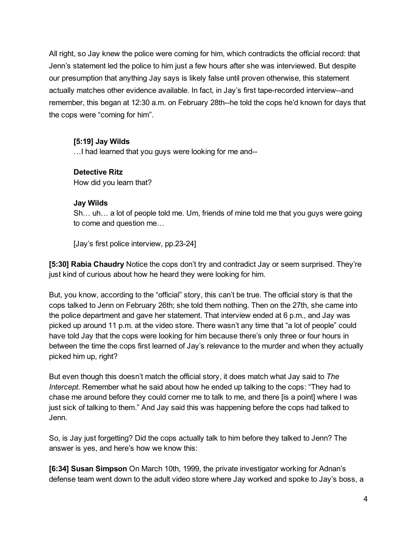All right, so Jay knew the police were coming for him, which contradicts the official record: that Jenn's statement led the police to him just a few hours after she was interviewed. But despite our presumption that anything Jay says is likely false until proven otherwise, this statement actually matches other evidence available. In fact, in Jay's first tape-recorded interview--and remember, this began at 12:30 a.m. on February 28th--he told the cops he'd known for days that the cops were "coming for him".

# [5:19] Jay Wilds

…I had learned that you guys were looking for me and

#### Detective Ritz

How did you learn that?

#### Jay Wilds

Sh… uh… a lot of people told me. Um, friends of mine told me that you guys were going to come and question me…

[Jay's first police interview, pp.23-24]

[5:30] Rabia Chaudry Notice the cops don't try and contradict Jay or seem surprised. They're just kind of curious about how he heard they were looking for him.

But, you know, according to the "official" story, this can't be true. The official story is that the cops talked to Jenn on February 26th; she told them nothing. Then on the 27th, she came into the police department and gave her statement. That interview ended at 6 p.m., and Jay was picked up around 11 p.m. at the video store. There wasn't any time that "a lot of people" could have told Jay that the cops were looking for him because there's only three or four hours in between the time the cops first learned of Jay's relevance to the murder and when they actually picked him up, right?

But even though this doesn't match the official story, it does match what Jay said to *The Intercept*. Remember what he said about how he ended up talking to the cops: "They had to chase me around before they could corner me to talk to me, and there [is a point] where I was just sick of talking to them." And Jay said this was happening before the cops had talked to Jenn.

So, is Jay just forgetting? Did the cops actually talk to him before they talked to Jenn? The answer is yes, and here's how we know this:

[6:34] Susan Simpson On March 10th, 1999, the private investigator working for Adnan's defense team went down to the adult video store where Jay worked and spoke to Jay's boss, a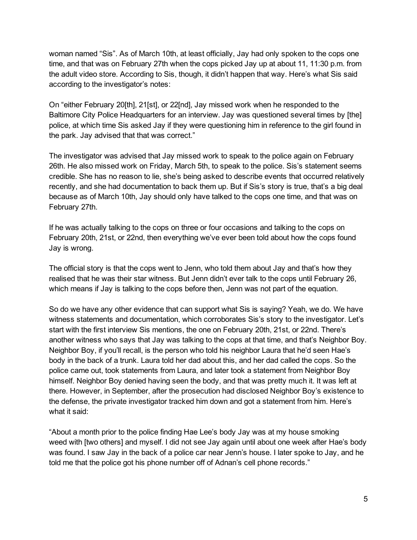woman named "Sis". As of March 10th, at least officially, Jay had only spoken to the cops one time, and that was on February 27th when the cops picked Jay up at about 11, 11:30 p.m. from the adult video store. According to Sis, though, it didn't happen that way. Here's what Sis said according to the investigator's notes:

On "either February 20[th], 21[st], or 22[nd], Jay missed work when he responded to the Baltimore City Police Headquarters for an interview. Jay was questioned several times by [the] police, at which time Sis asked Jay if they were questioning him in reference to the girl found in the park. Jay advised that that was correct."

The investigator was advised that Jay missed work to speak to the police again on February 26th. He also missed work on Friday, March 5th, to speak to the police. Sis's statement seems credible. She has no reason to lie, she's being asked to describe events that occurred relatively recently, and she had documentation to back them up. But if Sis's story is true, that's a big deal because as of March 10th, Jay should only have talked to the cops one time, and that was on February 27th.

If he was actually talking to the cops on three or four occasions and talking to the cops on February 20th, 21st, or 22nd, then everything we've ever been told about how the cops found Jay is wrong.

The official story is that the cops went to Jenn, who told them about Jay and that's how they realised that he was their star witness. But Jenn didn't ever talk to the cops until February 26, which means if Jay is talking to the cops before then, Jenn was not part of the equation.

So do we have any other evidence that can support what Sis is saying? Yeah, we do. We have witness statements and documentation, which corroborates Sis's story to the investigator. Let's start with the first interview Sis mentions, the one on February 20th, 21st, or 22nd. There's another witness who says that Jay was talking to the cops at that time, and that's Neighbor Boy. Neighbor Boy, if you'll recall, is the person who told his neighbor Laura that he'd seen Hae's body in the back of a trunk. Laura told her dad about this, and her dad called the cops. So the police came out, took statements from Laura, and later took a statement from Neighbor Boy himself. Neighbor Boy denied having seen the body, and that was pretty much it. It was left at there. However, in September, after the prosecution had disclosed Neighbor Boy's existence to the defense, the private investigator tracked him down and got a statement from him. Here's what it said:

"About a month prior to the police finding Hae Lee's body Jay was at my house smoking weed with [two others] and myself. I did not see Jay again until about one week after Hae's body was found. I saw Jay in the back of a police car near Jenn's house. I later spoke to Jay, and he told me that the police got his phone number off of Adnan's cell phone records."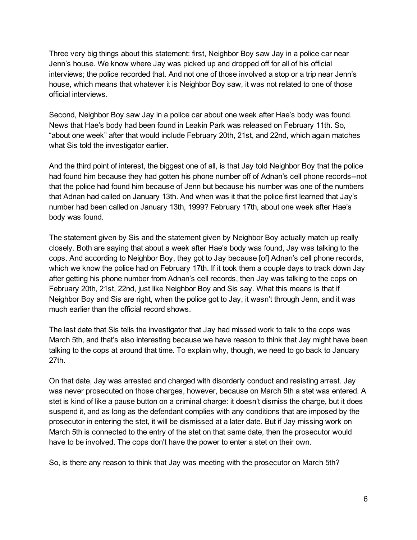Three very big things about this statement: first, Neighbor Boy saw Jay in a police car near Jenn's house. We know where Jay was picked up and dropped off for all of his official interviews; the police recorded that. And not one of those involved a stop or a trip near Jenn's house, which means that whatever it is Neighbor Boy saw, it was not related to one of those official interviews.

Second, Neighbor Boy saw Jay in a police car about one week after Hae's body was found. News that Hae's body had been found in Leakin Park was released on February 11th. So, "about one week" after that would include February 20th, 21st, and 22nd, which again matches what Sis told the investigator earlier.

And the third point of interest, the biggest one of all, is that Jay told Neighbor Boy that the police had found him because they had gotten his phone number off of Adnan's cell phone records--not that the police had found him because of Jenn but because his number was one of the numbers that Adnan had called on January 13th. And when was it that the police first learned that Jay's number had been called on January 13th, 1999? February 17th, about one week after Hae's body was found.

The statement given by Sis and the statement given by Neighbor Boy actually match up really closely. Both are saying that about a week after Hae's body was found, Jay was talking to the cops. And according to Neighbor Boy, they got to Jay because [of] Adnan's cell phone records, which we know the police had on February 17th. If it took them a couple days to track down Jay after getting his phone number from Adnan's cell records, then Jay was talking to the cops on February 20th, 21st, 22nd, just like Neighbor Boy and Sis say. What this means is that if Neighbor Boy and Sis are right, when the police got to Jay, it wasn't through Jenn, and it was much earlier than the official record shows.

The last date that Sis tells the investigator that Jay had missed work to talk to the cops was March 5th, and that's also interesting because we have reason to think that Jay might have been talking to the cops at around that time. To explain why, though, we need to go back to January 27th.

On that date, Jay was arrested and charged with disorderly conduct and resisting arrest. Jay was never prosecuted on those charges, however, because on March 5th a stet was entered. A stet is kind of like a pause button on a criminal charge: it doesn't dismiss the charge, but it does suspend it, and as long as the defendant complies with any conditions that are imposed by the prosecutor in entering the stet, it will be dismissed at a later date. But if Jay missing work on March 5th is connected to the entry of the stet on that same date, then the prosecutor would have to be involved. The cops don't have the power to enter a stet on their own.

So, is there any reason to think that Jay was meeting with the prosecutor on March 5th?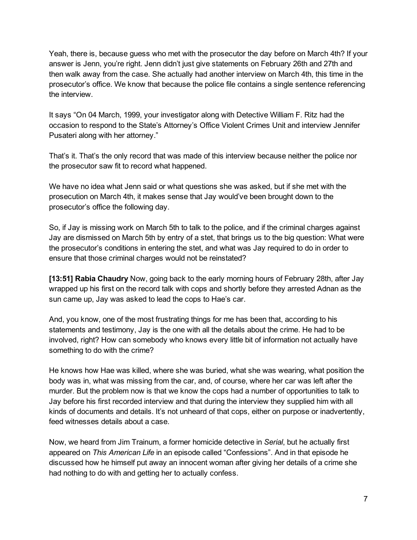Yeah, there is, because guess who met with the prosecutor the day before on March 4th? If your answer is Jenn, you're right. Jenn didn't just give statements on February 26th and 27th and then walk away from the case. She actually had another interview on March 4th, this time in the prosecutor's office. We know that because the police file contains a single sentence referencing the interview.

It says "On 04 March, 1999, your investigator along with Detective William F. Ritz had the occasion to respond to the State's Attorney's Office Violent Crimes Unit and interview Jennifer Pusateri along with her attorney."

That's it. That's the only record that was made of this interview because neither the police nor the prosecutor saw fit to record what happened.

We have no idea what Jenn said or what questions she was asked, but if she met with the prosecution on March 4th, it makes sense that Jay would've been brought down to the prosecutor's office the following day.

So, if Jay is missing work on March 5th to talk to the police, and if the criminal charges against Jay are dismissed on March 5th by entry of a stet, that brings us to the big question: What were the prosecutor's conditions in entering the stet, and what was Jay required to do in order to ensure that those criminal charges would not be reinstated?

[13:51] Rabia Chaudry Now, going back to the early morning hours of February 28th, after Jay wrapped up his first on the record talk with cops and shortly before they arrested Adnan as the sun came up, Jay was asked to lead the cops to Hae's car.

And, you know, one of the most frustrating things for me has been that, according to his statements and testimony, Jay is the one with all the details about the crime. He had to be involved, right? How can somebody who knows every little bit of information not actually have something to do with the crime?

He knows how Hae was killed, where she was buried, what she was wearing, what position the body was in, what was missing from the car, and, of course, where her car was left after the murder. But the problem now is that we know the cops had a number of opportunities to talk to Jay before his first recorded interview and that during the interview they supplied him with all kinds of documents and details. It's not unheard of that cops, either on purpose or inadvertently, feed witnesses details about a case.

Now, we heard from Jim Trainum, a former homicide detective in *Serial*, but he actually first appeared on *This American Life* in an episode called "Confessions". And in that episode he discussed how he himself put away an innocent woman after giving her details of a crime she had nothing to do with and getting her to actually confess.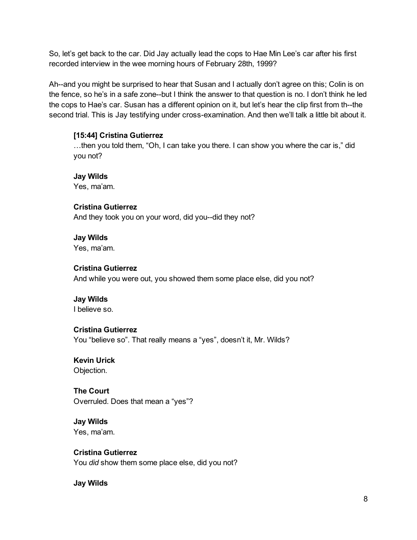So, let's get back to the car. Did Jay actually lead the cops to Hae Min Lee's car after his first recorded interview in the wee morning hours of February 28th, 1999?

Ah--and you might be surprised to hear that Susan and I actually don't agree on this; Colin is on the fence, so he's in a safe zone--but I think the answer to that question is no. I don't think he led the cops to Hae's car. Susan has a different opinion on it, but let's hear the clip first from th--the second trial. This is Jay testifying under cross-examination. And then we'll talk a little bit about it.

#### [15:44] Cristina Gutierrez

…then you told them, "Oh, I can take you there. I can show you where the car is," did you not?

Jay Wilds Yes, ma'am.

Cristina Gutierrez And they took you on your word, did you--did they not?

Jay Wilds Yes, ma'am.

#### Cristina Gutierrez

And while you were out, you showed them some place else, did you not?

Jay Wilds

I believe so.

# Cristina Gutierrez

You "believe so". That really means a "yes", doesn't it, Mr. Wilds?

Kevin Urick Objection.

The Court Overruled. Does that mean a "yes"?

Jay Wilds Yes, ma'am.

Cristina Gutierrez

You *did* show them some place else, did you not?

Jay Wilds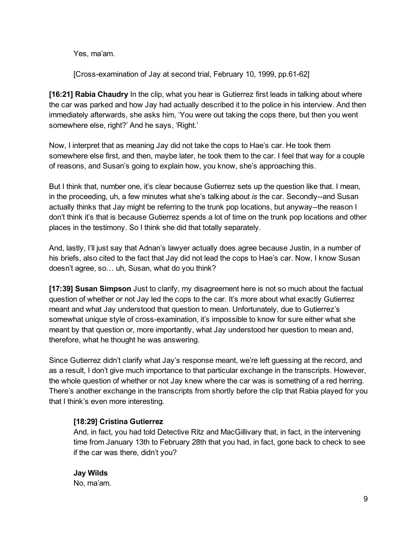Yes, ma'am.

[Cross-examination of Jay at second trial, February 10, 1999, pp.61-62]

[16:21] Rabia Chaudry In the clip, what you hear is Gutierrez first leads in talking about where the car was parked and how Jay had actually described it to the police in his interview. And then immediately afterwards, she asks him, 'You were out taking the cops there, but then you went somewhere else, right?' And he says, 'Right.'

Now, I interpret that as meaning Jay did not take the cops to Hae's car. He took them somewhere else first, and then, maybe later, he took them to the car. I feel that way for a couple of reasons, and Susan's going to explain how, you know, she's approaching this.

But I think that, number one, it's clear because Gutierrez sets up the question like that. I mean, in the proceeding, uh, a few minutes what she's talking about *is* the car. Secondly--and Susan actually thinks that Jay might be referring to the trunk pop locations, but anyway--the reason I don't think it's that is because Gutierrez spends a lot of time on the trunk pop locations and other places in the testimony. So I think she did that totally separately.

And, lastly, I'll just say that Adnan's lawyer actually does agree because Justin, in a number of his briefs, also cited to the fact that Jay did not lead the cops to Hae's car. Now, I know Susan doesn't agree, so… uh, Susan, what do you think?

[17:39] Susan Simpson Just to clarify, my disagreement here is not so much about the factual question of whether or not Jay led the cops to the car. It's more about what exactly Gutierrez meant and what Jay understood that question to mean. Unfortunately, due to Gutierrez's somewhat unique style of cross-examination, it's impossible to know for sure either what she meant by that question or, more importantly, what Jay understood her question to mean and, therefore, what he thought he was answering.

Since Gutierrez didn't clarify what Jay's response meant, we're left guessing at the record, and as a result, I don't give much importance to that particular exchange in the transcripts. However, the whole question of whether or not Jay knew where the car was is something of a red herring. There's another exchange in the transcripts from shortly before the clip that Rabia played for you that I think's even more interesting.

# [18:29] Cristina Gutierrez

And, in fact, you had told Detective Ritz and MacGillivary that, in fact, in the intervening time from January 13th to February 28th that you had, in fact, gone back to check to see if the car was there, didn't you?

Jay Wilds No, ma'am.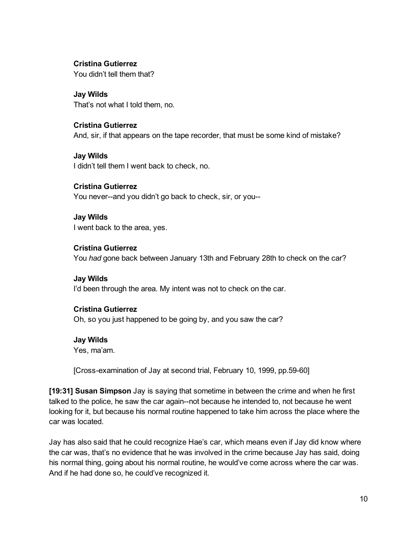#### Cristina Gutierrez

You didn't tell them that?

Jay Wilds That's not what I told them, no.

#### Cristina Gutierrez

And, sir, if that appears on the tape recorder, that must be some kind of mistake?

Jay Wilds I didn't tell them I went back to check, no.

Cristina Gutierrez You never--and you didn't go back to check, sir, or you--

Jay Wilds I went back to the area, yes.

#### Cristina Gutierrez

You *had* gone back between January 13th and February 28th to check on the car?

Jay Wilds I'd been through the area. My intent was not to check on the car.

#### Cristina Gutierrez

Oh, so you just happened to be going by, and you saw the car?

#### Jay Wilds

Yes, ma'am.

[Cross-examination of Jay at second trial, February 10, 1999, pp.59-60]

[19:31] Susan Simpson Jay is saying that sometime in between the crime and when he first talked to the police, he saw the car again--not because he intended to, not because he went looking for it, but because his normal routine happened to take him across the place where the car was located.

Jay has also said that he could recognize Hae's car, which means even if Jay did know where the car was, that's no evidence that he was involved in the crime because Jay has said, doing his normal thing, going about his normal routine, he would've come across where the car was. And if he had done so, he could've recognized it.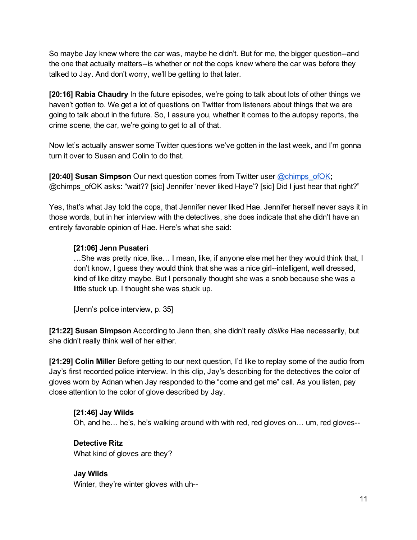So maybe Jay knew where the car was, maybe he didn't. But for me, the bigger question--and the one that actually matters--is whether or not the cops knew where the car was before they talked to Jay. And don't worry, we'll be getting to that later.

[20:16] Rabia Chaudry In the future episodes, we're going to talk about lots of other things we haven't gotten to. We get a lot of questions on Twitter from listeners about things that we are going to talk about in the future. So, I assure you, whether it comes to the autopsy reports, the crime scene, the car, we're going to get to all of that.

Now let's actually answer some Twitter questions we've gotten in the last week, and I'm gonna turn it over to Susan and Colin to do that.

[20:40] Susan Simpson Our next question comes from Twitter user [@chimps\\_ofOK](https://twitter.com/chimps_ofOK); @chimps\_ofOK asks: "wait?? [sic] Jennifer 'never liked Haye'? [sic] Did I just hear that right?"

Yes, that's what Jay told the cops, that Jennifer never liked Hae. Jennifer herself never says it in those words, but in her interview with the detectives, she does indicate that she didn't have an entirely favorable opinion of Hae. Here's what she said:

# [21:06] Jenn Pusateri

…She was pretty nice, like… I mean, like, if anyone else met her they would think that, I don't know, I guess they would think that she was a nice girl--intelligent, well dressed, kind of like ditzy maybe. But I personally thought she was a snob because she was a little stuck up. I thought she was stuck up.

[Jenn's police interview, p. 35]

[21:22] Susan Simpson According to Jenn then, she didn't really *dislike* Hae necessarily, but she didn't really think well of her either.

[21:29] Colin Miller Before getting to our next question, I'd like to replay some of the audio from Jay's first recorded police interview. In this clip, Jay's describing for the detectives the color of gloves worn by Adnan when Jay responded to the "come and get me" call. As you listen, pay close attention to the color of glove described by Jay.

#### [21:46] Jay Wilds

Oh, and he… he's, he's walking around with with red, red gloves on… um, red gloves

#### Detective Ritz

What kind of gloves are they?

#### Jay Wilds

Winter, they're winter gloves with uh--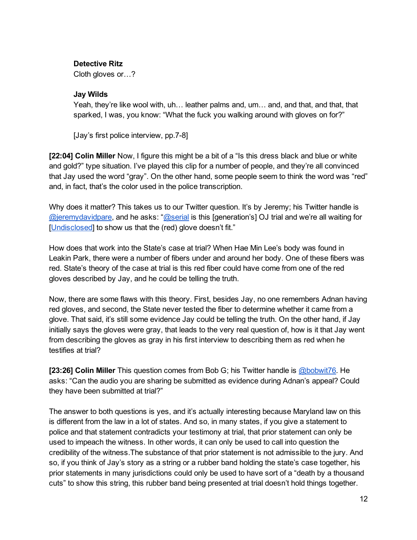#### Detective Ritz

Cloth gloves or…?

#### Jay Wilds

Yeah, they're like wool with, uh… leather palms and, um… and, and that, and that, that sparked, I was, you know: "What the fuck you walking around with gloves on for?"

[Jay's first police interview, pp.7-8]

[22:04] Colin Miller Now, I figure this might be a bit of a "Is this dress black and blue or white and gold?" type situation. I've played this clip for a number of people, and they're all convinced that Jay used the word "gray". On the other hand, some people seem to think the word was "red" and, in fact, that's the color used in the police transcription.

Why does it matter? This takes us to our Twitter question. It's by Jeremy; his Twitter handle is [@jeremydavidpare](https://twitter.com/jeremydavidpare), and he asks: "[@serial](https://twitter.com/serial) is this [generation's] OJ trial and we're all waiting for [\[Undisclosed\]](https://twitter.com/Undisclosedpod) to show us that the (red) glove doesn't fit."

How does that work into the State's case at trial? When Hae Min Lee's body was found in Leakin Park, there were a number of fibers under and around her body. One of these fibers was red. State's theory of the case at trial is this red fiber could have come from one of the red gloves described by Jay, and he could be telling the truth.

Now, there are some flaws with this theory. First, besides Jay, no one remembers Adnan having red gloves, and second, the State never tested the fiber to determine whether it came from a glove. That said, it's still some evidence Jay could be telling the truth. On the other hand, if Jay initially says the gloves were gray, that leads to the very real question of, how is it that Jay went from describing the gloves as gray in his first interview to describing them as red when he testifies at trial?

[23:26] Colin Miller This question comes from Bob G; his Twitter handle is [@bobwit76.](https://twitter.com/bobwit76) He asks: "Can the audio you are sharing be submitted as evidence during Adnan's appeal? Could they have been submitted at trial?"

The answer to both questions is yes, and it's actually interesting because Maryland law on this is different from the law in a lot of states. And so, in many states, if you give a statement to police and that statement contradicts your testimony at trial, that prior statement can only be used to impeach the witness. In other words, it can only be used to call into question the credibility of the witness.The substance of that prior statement is not admissible to the jury. And so, if you think of Jay's story as a string or a rubber band holding the state's case together, his prior statements in many jurisdictions could only be used to have sort of a "death by a thousand cuts" to show this string, this rubber band being presented at trial doesn't hold things together.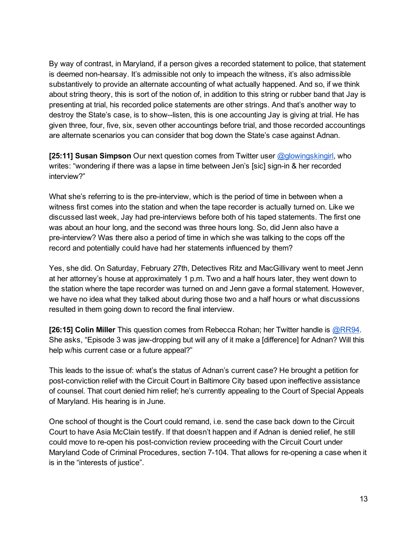By way of contrast, in Maryland, if a person gives a recorded statement to police, that statement is deemed non-hearsay. It's admissible not only to impeach the witness, it's also admissible substantively to provide an alternate accounting of what actually happened. And so, if we think about string theory, this is sort of the notion of, in addition to this string or rubber band that Jay is presenting at trial, his recorded police statements are other strings. And that's another way to destroy the State's case, is to show-listen, this is one accounting Jay is giving at trial. He has given three, four, five, six, seven other accountings before trial, and those recorded accountings are alternate scenarios you can consider that bog down the State's case against Adnan.

[25:11] Susan Simpson Our next question comes from Twitter user [@glowingskingirl,](https://twitter.com/glowingskingirl) who writes: "wondering if there was a lapse in time between Jen's [sic] sign-in & her recorded interview?"

What she's referring to is the pre-interview, which is the period of time in between when a witness first comes into the station and when the tape recorder is actually turned on. Like we discussed last week, Jay had pre-interviews before both of his taped statements. The first one was about an hour long, and the second was three hours long. So, did Jenn also have a pre-interview? Was there also a period of time in which she was talking to the cops off the record and potentially could have had her statements influenced by them?

Yes, she did. On Saturday, February 27th, Detectives Ritz and MacGillivary went to meet Jenn at her attorney's house at approximately 1 p.m. Two and a half hours later, they went down to the station where the tape recorder was turned on and Jenn gave a formal statement. However, we have no idea what they talked about during those two and a half hours or what discussions resulted in them going down to record the final interview.

[26:15] Colin Miller This question comes from Rebecca Rohan; her Twitter handle is **[@RR94](https://twitter.com/RR94)**. She asks, "Episode 3 was jaw-dropping but will any of it make a [difference] for Adnan? Will this help w/his current case or a future appeal?"

This leads to the issue of: what's the status of Adnan's current case? He brought a petition for post-conviction relief with the Circuit Court in Baltimore City based upon ineffective assistance of counsel. That court denied him relief; he's currently appealing to the Court of Special Appeals of Maryland. His hearing is in June.

One school of thought is the Court could remand, i.e. send the case back down to the Circuit Court to have Asia McClain testify. If that doesn't happen and if Adnan is denied relief, he still could move to re-open his post-conviction review proceeding with the Circuit Court under Maryland Code of Criminal Procedures, section 7-104. That allows for re-opening a case when it is in the "interests of justice".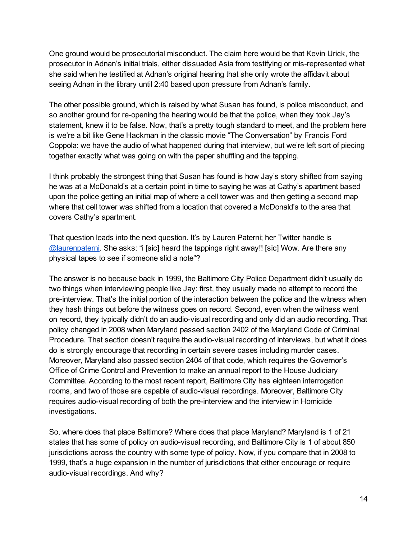One ground would be prosecutorial misconduct. The claim here would be that Kevin Urick, the prosecutor in Adnan's initial trials, either dissuaded Asia from testifying or mis-represented what she said when he testified at Adnan's original hearing that she only wrote the affidavit about seeing Adnan in the library until 2:40 based upon pressure from Adnan's family.

The other possible ground, which is raised by what Susan has found, is police misconduct, and so another ground for re-opening the hearing would be that the police, when they took Jay's statement, knew it to be false. Now, that's a pretty tough standard to meet, and the problem here is we're a bit like Gene Hackman in the classic movie "The Conversation" by Francis Ford Coppola: we have the audio of what happened during that interview, but we're left sort of piecing together exactly what was going on with the paper shuffling and the tapping.

I think probably the strongest thing that Susan has found is how Jay's story shifted from saying he was at a McDonald's at a certain point in time to saying he was at Cathy's apartment based upon the police getting an initial map of where a cell tower was and then getting a second map where that cell tower was shifted from a location that covered a McDonald's to the area that covers Cathy's apartment.

That question leads into the next question. It's by Lauren Paterni; her Twitter handle is [@laurenpaterni](https://twitter.com/laurenpaterni). She asks: "i [sic] heard the tappings right away!! [sic] Wow. Are there any physical tapes to see if someone slid a note"?

The answer is no because back in 1999, the Baltimore City Police Department didn't usually do two things when interviewing people like Jay: first, they usually made no attempt to record the preinterview. That's the initial portion of the interaction between the police and the witness when they hash things out before the witness goes on record. Second, even when the witness went on record, they typically didn't do an audio-visual recording and only did an audio recording. That policy changed in 2008 when Maryland passed section 2402 of the Maryland Code of Criminal Procedure. That section doesn't require the audio-visual recording of interviews, but what it does do is strongly encourage that recording in certain severe cases including murder cases. Moreover, Maryland also passed section 2404 of that code, which requires the Governor's Office of Crime Control and Prevention to make an annual report to the House Judiciary Committee. According to the most recent report, Baltimore City has eighteen interrogation rooms, and two of those are capable of audio-visual recordings. Moreover, Baltimore City requires audio-visual recording of both the pre-interview and the interview in Homicide investigations.

So, where does that place Baltimore? Where does that place Maryland? Maryland is 1 of 21 states that has some of policy on audio-visual recording, and Baltimore City is 1 of about 850 jurisdictions across the country with some type of policy. Now, if you compare that in 2008 to 1999, that's a huge expansion in the number of jurisdictions that either encourage or require audio-visual recordings. And why?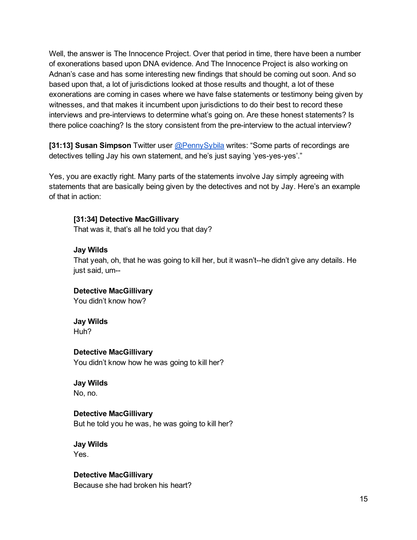Well, the answer is The Innocence Project. Over that period in time, there have been a number of exonerations based upon DNA evidence. And The Innocence Project is also working on Adnan's case and has some interesting new findings that should be coming out soon. And so based upon that, a lot of jurisdictions looked at those results and thought, a lot of these exonerations are coming in cases where we have false statements or testimony being given by witnesses, and that makes it incumbent upon jurisdictions to do their best to record these interviews and pre-interviews to determine what's going on. Are these honest statements? Is there police coaching? Is the story consistent from the pre-interview to the actual interview?

[31:13] Susan Simpson Twitter user [@PennySybila](https://twitter.com/PennySybila) writes: "Some parts of recordings are detectives telling Jay his own statement, and he's just saying 'yes-yes-yes'."

Yes, you are exactly right. Many parts of the statements involve Jay simply agreeing with statements that are basically being given by the detectives and not by Jay. Here's an example of that in action:

#### [31:34] Detective MacGillivary

That was it, that's all he told you that day?

#### Jay Wilds

That yeah, oh, that he was going to kill her, but it wasn't--he didn't give any details. He just said, um

# Detective MacGillivary

You didn't know how?

#### Jay Wilds

Huh?

#### Detective MacGillivary

You didn't know how he was going to kill her?

#### Jay Wilds

No, no.

#### Detective MacGillivary

But he told you he was, he was going to kill her?

#### Jay Wilds Yes.

Detective MacGillivary

Because she had broken his heart?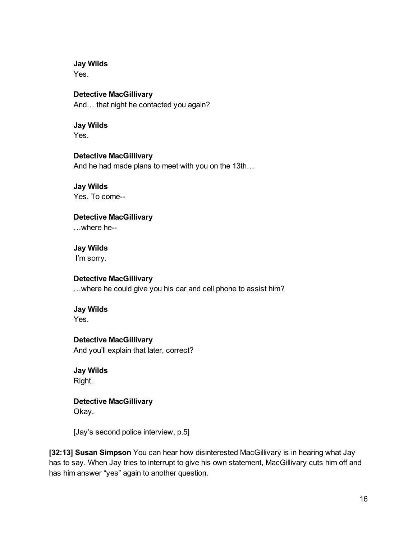Jay Wilds

Yes.

#### Detective MacGillivary

And… that night he contacted you again?

# Jay Wilds

Yes.

# Detective MacGillivary

And he had made plans to meet with you on the 13th…

#### Jay Wilds Yes. To come

Detective MacGillivary …where he

Jay Wilds I'm sorry.

# Detective MacGillivary

…where he could give you his car and cell phone to assist him?

# Jay Wilds

Yes.

# Detective MacGillivary

And you'll explain that later, correct?

Jay Wilds Right.

Detective MacGillivary Okay.

[Jay's second police interview, p.5]

[32:13] Susan Simpson You can hear how disinterested MacGillivary is in hearing what Jay has to say. When Jay tries to interrupt to give his own statement, MacGillivary cuts him off and has him answer "yes" again to another question.